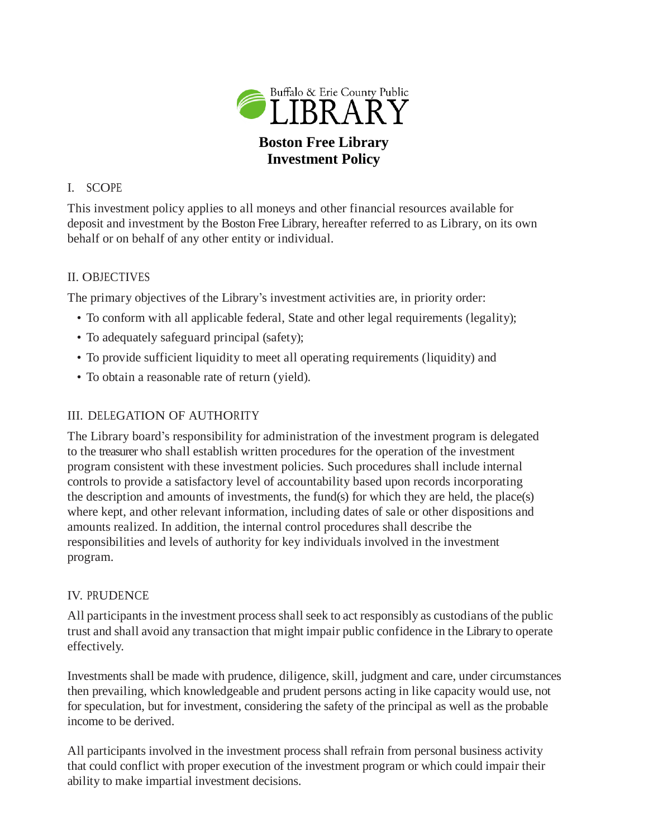

## I. SCOPE

This investment policy applies to all moneys and other financial resources available for deposit and investment by the Boston Free Library, hereafter referred to as Library, on its own behalf or on behalf of any other entity or individual.

## II. OBJECTIVES

The primary objectives of the Library's investment activities are, in priority order:

- To conform with all applicable federal, State and other legal requirements (legality);
- To adequately safeguard principal (safety);
- To provide sufficient liquidity to meet all operating requirements (liquidity) and
- To obtain a reasonable rate of return (yield).

# III. DELEGATION OF AUTHORITY

The Library board's responsibility for administration of the investment program is delegated to the treasurer who shall establish written procedures for the operation of the investment program consistent with these investment policies. Such procedures shall include internal controls to provide a satisfactory level of accountability based upon records incorporating the description and amounts of investments, the fund(s) for which they are held, the place(s) where kept, and other relevant information, including dates of sale or other dispositions and amounts realized. In addition, the internal control procedures shall describe the responsibilities and levels of authority for key individuals involved in the investment program.

### IV. PRUDENCE

All participants in the investment process shall seek to act responsibly as custodians of the public trust and shall avoid any transaction that might impair public confidence in the Library to operate effectively.

Investments shall be made with prudence, diligence, skill, judgment and care, under circumstances then prevailing, which knowledgeable and prudent persons acting in like capacity would use, not for speculation, but for investment, considering the safety of the principal as well as the probable income to be derived.

All participants involved in the investment process shall refrain from personal business activity that could conflict with proper execution of the investment program or which could impair their ability to make impartial investment decisions.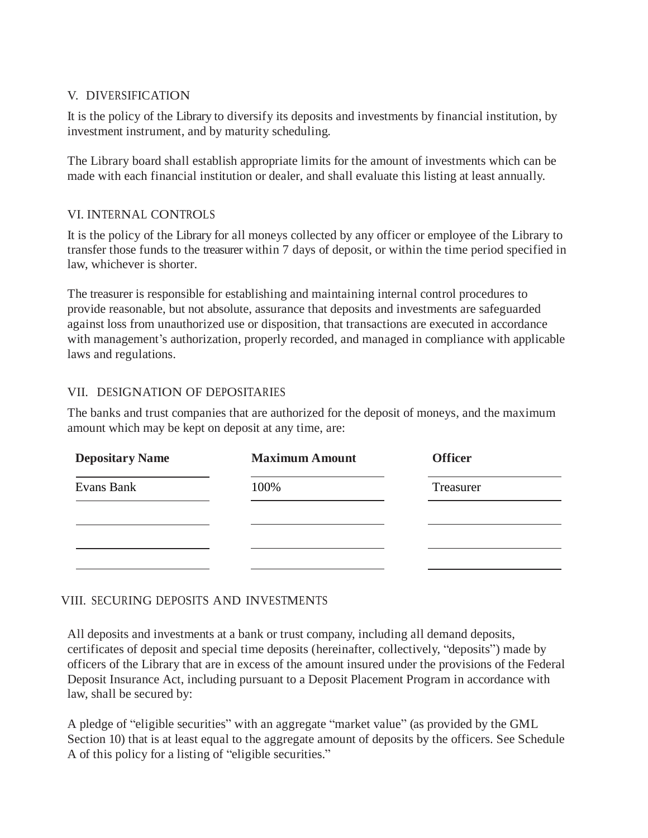### V. DIVERSIFICATION

It is the policy of the Library to diversify its deposits and investments by financial institution, by investment instrument, and by maturity scheduling.

The Library board shall establish appropriate limits for the amount of investments which can be made with each financial institution or dealer, and shall evaluate this listing at least annually.

## VI. INTERNAL CONTROLS

It is the policy of the Library for all moneys collected by any officer or employee of the Library to transfer those funds to the treasurer within 7 days of deposit, or within the time period specified in law, whichever is shorter.

The treasurer is responsible for establishing and maintaining internal control procedures to provide reasonable, but not absolute, assurance that deposits and investments are safeguarded against loss from unauthorized use or disposition, that transactions are executed in accordance with management's authorization, properly recorded, and managed in compliance with applicable laws and regulations.

## VII. DESIGNATION OF DEPOSITARIES

The banks and trust companies that are authorized for the deposit of moneys, and the maximum amount which may be kept on deposit at any time, are:

| <b>Depositary Name</b> | <b>Maximum Amount</b> | <b>Officer</b> |
|------------------------|-----------------------|----------------|
| Evans Bank             | 100%                  | Treasurer      |
|                        |                       |                |
|                        |                       |                |
|                        |                       |                |

# VIII. SECURING DEPOSITS AND INVESTMENTS

All deposits and investments at a bank or trust company, including all demand deposits, certificates of deposit and special time deposits (hereinafter, collectively, "deposits") made by officers of the Library that are in excess of the amount insured under the provisions of the Federal Deposit Insurance Act, including pursuant to a Deposit Placement Program in accordance with law, shall be secured by:

A pledge of "eligible securities" with an aggregate "market value" (as provided by the GML Section 10) that is at least equal to the aggregate amount of deposits by the officers. See Schedule A of this policy for a listing of "eligible securities."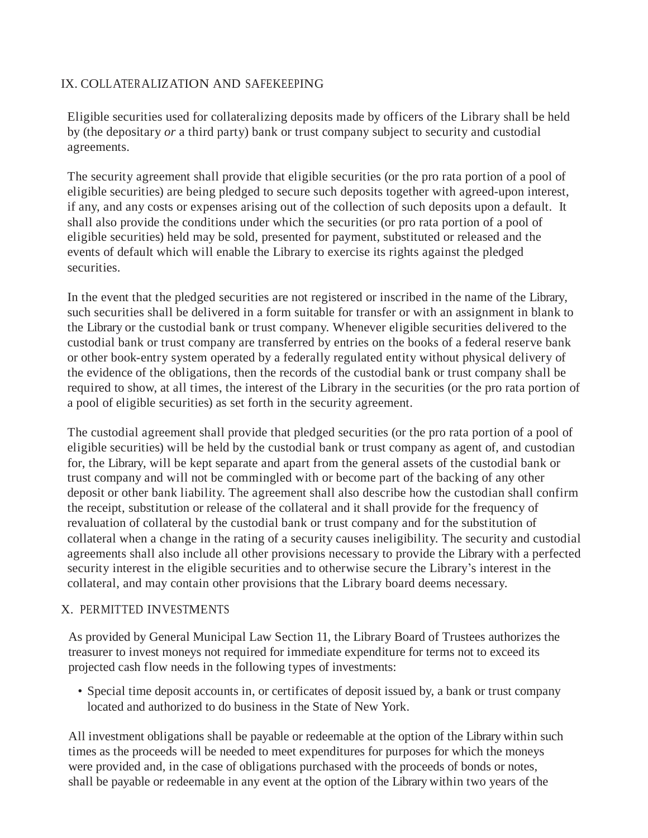## IX. COLLATERALIZATION AND SAFEKEEPING

Eligible securities used for collateralizing deposits made by officers of the Library shall be held by (the depositary *or* a third party) bank or trust company subject to security and custodial agreements.

The security agreement shall provide that eligible securities (or the pro rata portion of a pool of eligible securities) are being pledged to secure such deposits together with agreed-upon interest, if any, and any costs or expenses arising out of the collection of such deposits upon a default. It shall also provide the conditions under which the securities (or pro rata portion of a pool of eligible securities) held may be sold, presented for payment, substituted or released and the events of default which will enable the Library to exercise its rights against the pledged securities.

In the event that the pledged securities are not registered or inscribed in the name of the Library, such securities shall be delivered in a form suitable for transfer or with an assignment in blank to the Library or the custodial bank or trust company. Whenever eligible securities delivered to the custodial bank or trust company are transferred by entries on the books of a federal reserve bank or other book-entry system operated by a federally regulated entity without physical delivery of the evidence of the obligations, then the records of the custodial bank or trust company shall be required to show, at all times, the interest of the Library in the securities (or the pro rata portion of a pool of eligible securities) as set forth in the security agreement.

The custodial agreement shall provide that pledged securities (or the pro rata portion of a pool of eligible securities) will be held by the custodial bank or trust company as agent of, and custodian for, the Library, will be kept separate and apart from the general assets of the custodial bank or trust company and will not be commingled with or become part of the backing of any other deposit or other bank liability. The agreement shall also describe how the custodian shall confirm the receipt, substitution or release of the collateral and it shall provide for the frequency of revaluation of collateral by the custodial bank or trust company and for the substitution of collateral when a change in the rating of a security causes ineligibility. The security and custodial agreements shall also include all other provisions necessary to provide the Library with a perfected security interest in the eligible securities and to otherwise secure the Library's interest in the collateral, and may contain other provisions that the Library board deems necessary.

### X. PERMITTED INVESTMENTS

As provided by General Municipal Law Section 11, the Library Board of Trustees authorizes the treasurer to invest moneys not required for immediate expenditure for terms not to exceed its projected cash flow needs in the following types of investments:

• Special time deposit accounts in, or certificates of deposit issued by, a bank or trust company located and authorized to do business in the State of New York.

All investment obligations shall be payable or redeemable at the option of the Library within such times as the proceeds will be needed to meet expenditures for purposes for which the moneys were provided and, in the case of obligations purchased with the proceeds of bonds or notes, shall be payable or redeemable in any event at the option of the Library within two years of the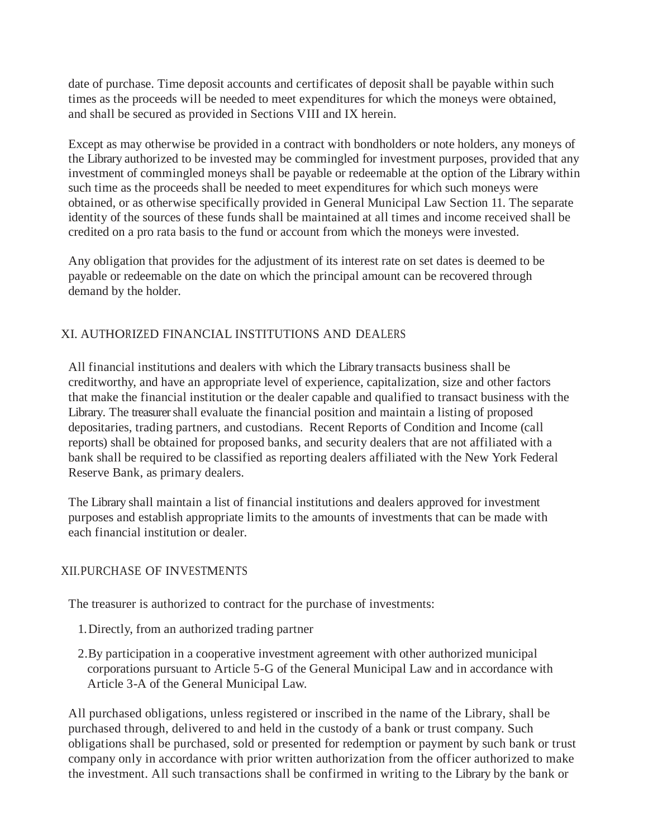date of purchase. Time deposit accounts and certificates of deposit shall be payable within such times as the proceeds will be needed to meet expenditures for which the moneys were obtained, and shall be secured as provided in Sections VIII and IX herein.

Except as may otherwise be provided in a contract with bondholders or note holders, any moneys of the Library authorized to be invested may be commingled for investment purposes, provided that any investment of commingled moneys shall be payable or redeemable at the option of the Library within such time as the proceeds shall be needed to meet expenditures for which such moneys were obtained, or as otherwise specifically provided in General Municipal Law Section 11. The separate identity of the sources of these funds shall be maintained at all times and income received shall be credited on a pro rata basis to the fund or account from which the moneys were invested.

Any obligation that provides for the adjustment of its interest rate on set dates is deemed to be payable or redeemable on the date on which the principal amount can be recovered through demand by the holder.

# XI. AUTHORIZED FINANCIAL INSTITUTIONS AND DEALERS

All financial institutions and dealers with which the Library transacts business shall be creditworthy, and have an appropriate level of experience, capitalization, size and other factors that make the financial institution or the dealer capable and qualified to transact business with the Library. The treasurer shall evaluate the financial position and maintain a listing of proposed depositaries, trading partners, and custodians. Recent Reports of Condition and Income (call reports) shall be obtained for proposed banks, and security dealers that are not affiliated with a bank shall be required to be classified as reporting dealers affiliated with the New York Federal Reserve Bank, as primary dealers.

The Library shall maintain a list of financial institutions and dealers approved for investment purposes and establish appropriate limits to the amounts of investments that can be made with each financial institution or dealer.

# XII.PURCHASE OF INVESTMENTS

The treasurer is authorized to contract for the purchase of investments:

- 1.Directly, from an authorized trading partner
- 2.By participation in a cooperative investment agreement with other authorized municipal corporations pursuant to Article 5-G of the General Municipal Law and in accordance with Article 3-A of the General Municipal Law.

All purchased obligations, unless registered or inscribed in the name of the Library, shall be purchased through, delivered to and held in the custody of a bank or trust company. Such obligations shall be purchased, sold or presented for redemption or payment by such bank or trust company only in accordance with prior written authorization from the officer authorized to make the investment. All such transactions shall be confirmed in writing to the Library by the bank or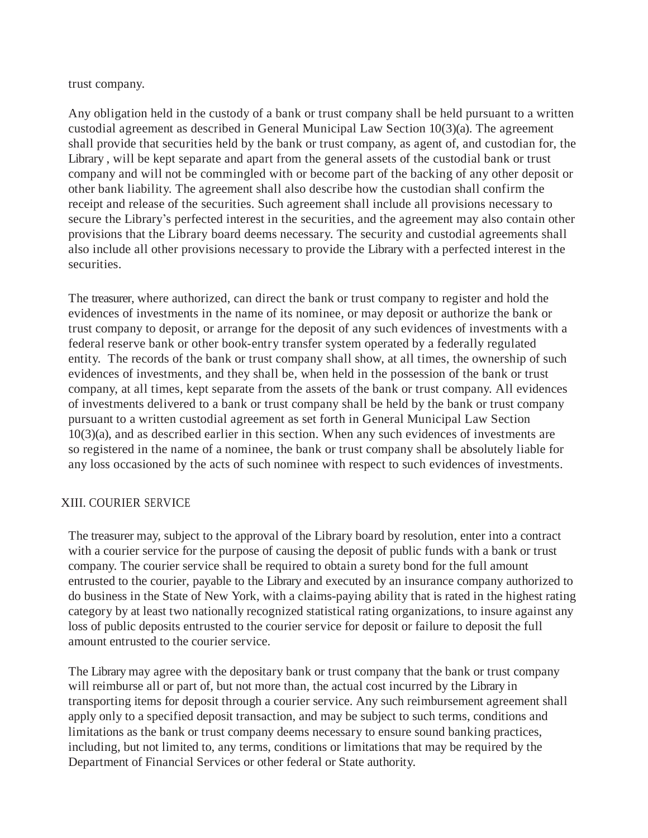#### trust company.

Any obligation held in the custody of a bank or trust company shall be held pursuant to a written custodial agreement as described in General Municipal Law Section 10(3)(a). The agreement shall provide that securities held by the bank or trust company, as agent of, and custodian for, the Library , will be kept separate and apart from the general assets of the custodial bank or trust company and will not be commingled with or become part of the backing of any other deposit or other bank liability. The agreement shall also describe how the custodian shall confirm the receipt and release of the securities. Such agreement shall include all provisions necessary to secure the Library's perfected interest in the securities, and the agreement may also contain other provisions that the Library board deems necessary. The security and custodial agreements shall also include all other provisions necessary to provide the Library with a perfected interest in the securities.

The treasurer, where authorized, can direct the bank or trust company to register and hold the evidences of investments in the name of its nominee, or may deposit or authorize the bank or trust company to deposit, or arrange for the deposit of any such evidences of investments with a federal reserve bank or other book-entry transfer system operated by a federally regulated entity. The records of the bank or trust company shall show, at all times, the ownership of such evidences of investments, and they shall be, when held in the possession of the bank or trust company, at all times, kept separate from the assets of the bank or trust company. All evidences of investments delivered to a bank or trust company shall be held by the bank or trust company pursuant to a written custodial agreement as set forth in General Municipal Law Section 10(3)(a), and as described earlier in this section. When any such evidences of investments are so registered in the name of a nominee, the bank or trust company shall be absolutely liable for any loss occasioned by the acts of such nominee with respect to such evidences of investments.

#### XIII. COURIER SERVICE

The treasurer may, subject to the approval of the Library board by resolution, enter into a contract with a courier service for the purpose of causing the deposit of public funds with a bank or trust company. The courier service shall be required to obtain a surety bond for the full amount entrusted to the courier, payable to the Library and executed by an insurance company authorized to do business in the State of New York, with a claims-paying ability that is rated in the highest rating category by at least two nationally recognized statistical rating organizations, to insure against any loss of public deposits entrusted to the courier service for deposit or failure to deposit the full amount entrusted to the courier service.

The Library may agree with the depositary bank or trust company that the bank or trust company will reimburse all or part of, but not more than, the actual cost incurred by the Library in transporting items for deposit through a courier service. Any such reimbursement agreement shall apply only to a specified deposit transaction, and may be subject to such terms, conditions and limitations as the bank or trust company deems necessary to ensure sound banking practices, including, but not limited to, any terms, conditions or limitations that may be required by the Department of Financial Services or other federal or State authority.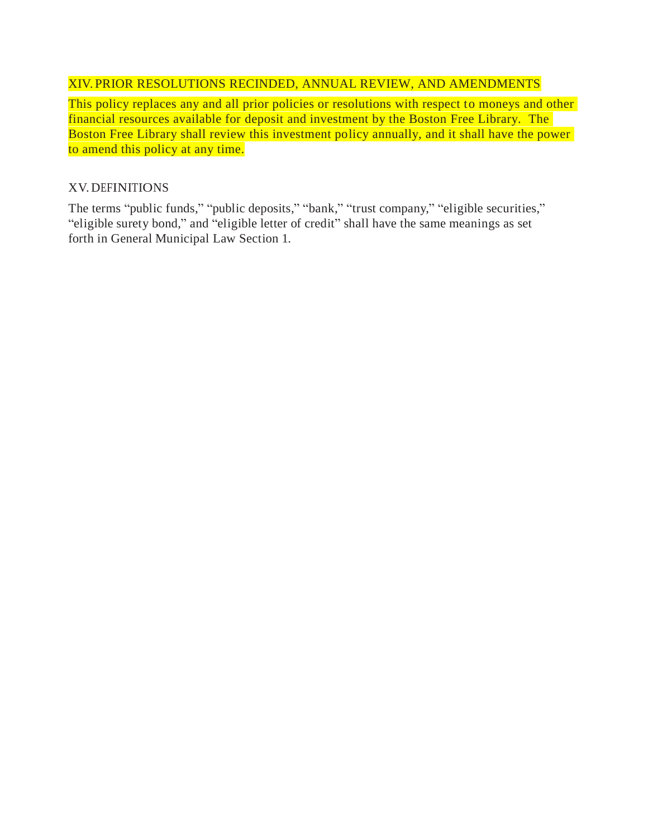# XIV. PRIOR RESOLUTIONS RECINDED, ANNUAL REVIEW, AND AMENDMENTS

This policy replaces any and all prior policies or resolutions with respect to moneys and other financial resources available for deposit and investment by the Boston Free Library. The Boston Free Library shall review this investment policy annually, and it shall have the power to amend this policy at any time.

### XV. DEFINITIONS

The terms "public funds," "public deposits," "bank," "trust company," "eligible securities," "eligible surety bond," and "eligible letter of credit" shall have the same meanings as set forth in General Municipal Law Section 1.